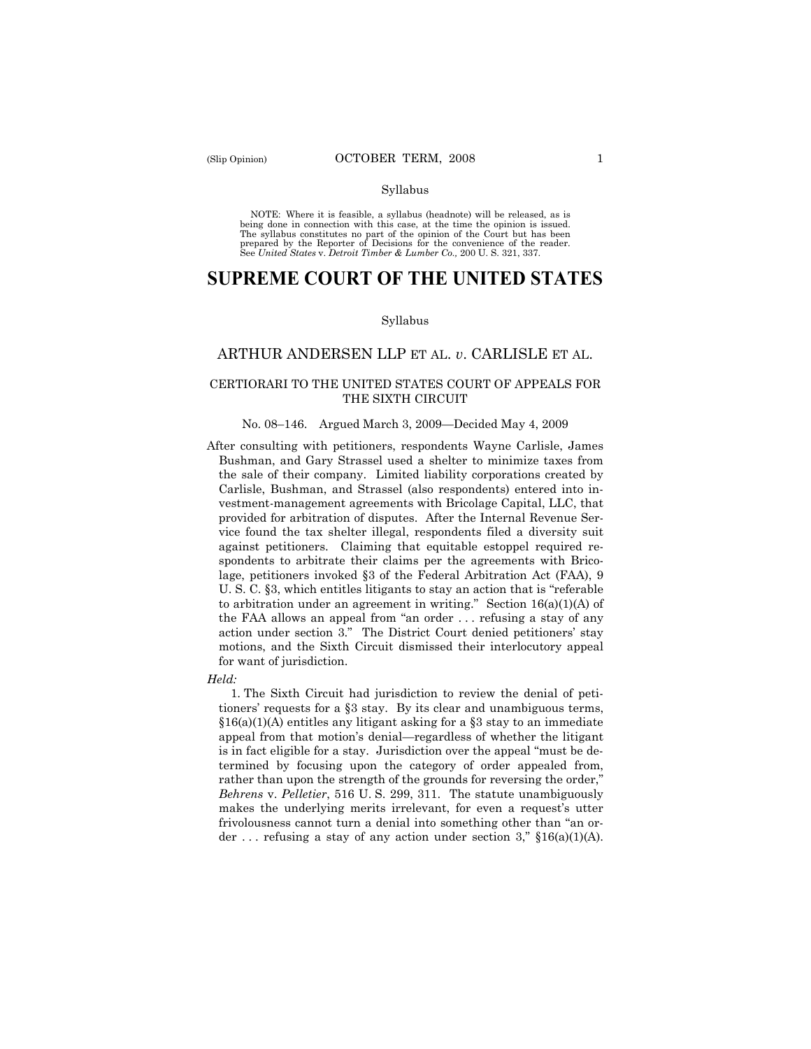#### Syllabus

NOTE: Where it is feasible, a syllabus (headnote) will be released, as is being done in connection with this case, at the time the opinion is issued. The syllabus constitutes no part of the opinion of the Court but has been<br>prepared by the Reporter of Decisions for the convenience of the reader.<br>See United States v. Detroit Timber & Lumber Co., 200 U. S. 321, 337.

# **SUPREME COURT OF THE UNITED STATES**

#### Syllabus

## ARTHUR ANDERSEN LLP ET AL. *v*. CARLISLE ET AL.

### CERTIORARI TO THE UNITED STATES COURT OF APPEALS FOR THE SIXTH CIRCUIT

#### No. 08–146. Argued March 3, 2009—Decided May 4, 2009

After consulting with petitioners, respondents Wayne Carlisle, James Bushman, and Gary Strassel used a shelter to minimize taxes from the sale of their company. Limited liability corporations created by Carlisle, Bushman, and Strassel (also respondents) entered into investment-management agreements with Bricolage Capital, LLC, that provided for arbitration of disputes. After the Internal Revenue Service found the tax shelter illegal, respondents filed a diversity suit against petitioners. Claiming that equitable estoppel required respondents to arbitrate their claims per the agreements with Bricolage, petitioners invoked §3 of the Federal Arbitration Act (FAA), 9 U. S. C. §3, which entitles litigants to stay an action that is "referable to arbitration under an agreement in writing." Section  $16(a)(1)(A)$  of the FAA allows an appeal from "an order . . . refusing a stay of any action under section 3." The District Court denied petitioners' stay motions, and the Sixth Circuit dismissed their interlocutory appeal for want of jurisdiction.

*Held:* 

1. The Sixth Circuit had jurisdiction to review the denial of petitioners' requests for a §3 stay. By its clear and unambiguous terms, §16(a)(1)(A) entitles any litigant asking for a §3 stay to an immediate appeal from that motion's denial—regardless of whether the litigant is in fact eligible for a stay. Jurisdiction over the appeal "must be determined by focusing upon the category of order appealed from, rather than upon the strength of the grounds for reversing the order," *Behrens* v. *Pelletier*, 516 U. S. 299, 311. The statute unambiguously makes the underlying merits irrelevant, for even a request's utter frivolousness cannot turn a denial into something other than "an order ... refusing a stay of any action under section 3,"  $$16(a)(1)(A)$ .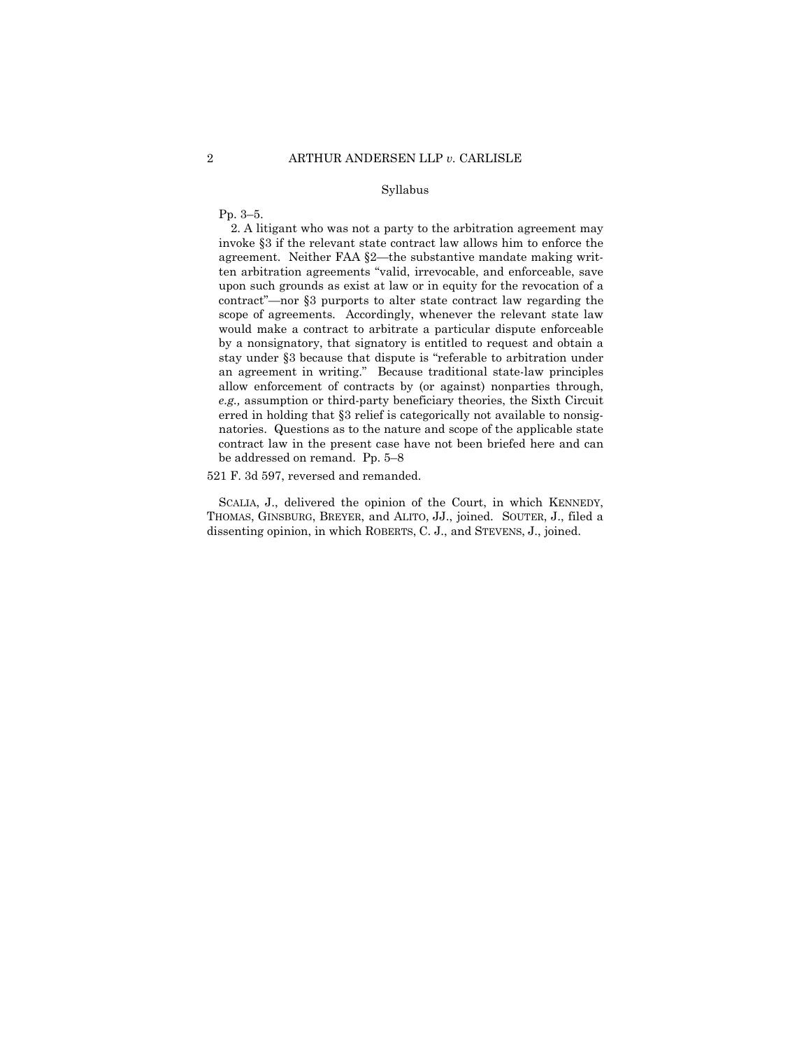#### Syllabus

Pp. 3–5.

2. A litigant who was not a party to the arbitration agreement may invoke §3 if the relevant state contract law allows him to enforce the agreement. Neither FAA §2—the substantive mandate making written arbitration agreements "valid, irrevocable, and enforceable, save upon such grounds as exist at law or in equity for the revocation of a contract"—nor §3 purports to alter state contract law regarding the scope of agreements*.* Accordingly, whenever the relevant state law would make a contract to arbitrate a particular dispute enforceable by a nonsignatory, that signatory is entitled to request and obtain a stay under §3 because that dispute is "referable to arbitration under an agreement in writing." Because traditional state-law principles allow enforcement of contracts by (or against) nonparties through, *e.g.,* assumption or third-party beneficiary theories, the Sixth Circuit erred in holding that §3 relief is categorically not available to nonsignatories. Questions as to the nature and scope of the applicable state contract law in the present case have not been briefed here and can be addressed on remand. Pp. 5–8

521 F. 3d 597, reversed and remanded.

SCALIA, J., delivered the opinion of the Court, in which KENNEDY, THOMAS, GINSBURG, BREYER, and ALITO, JJ., joined. SOUTER, J., filed a dissenting opinion, in which ROBERTS, C. J., and STEVENS, J., joined.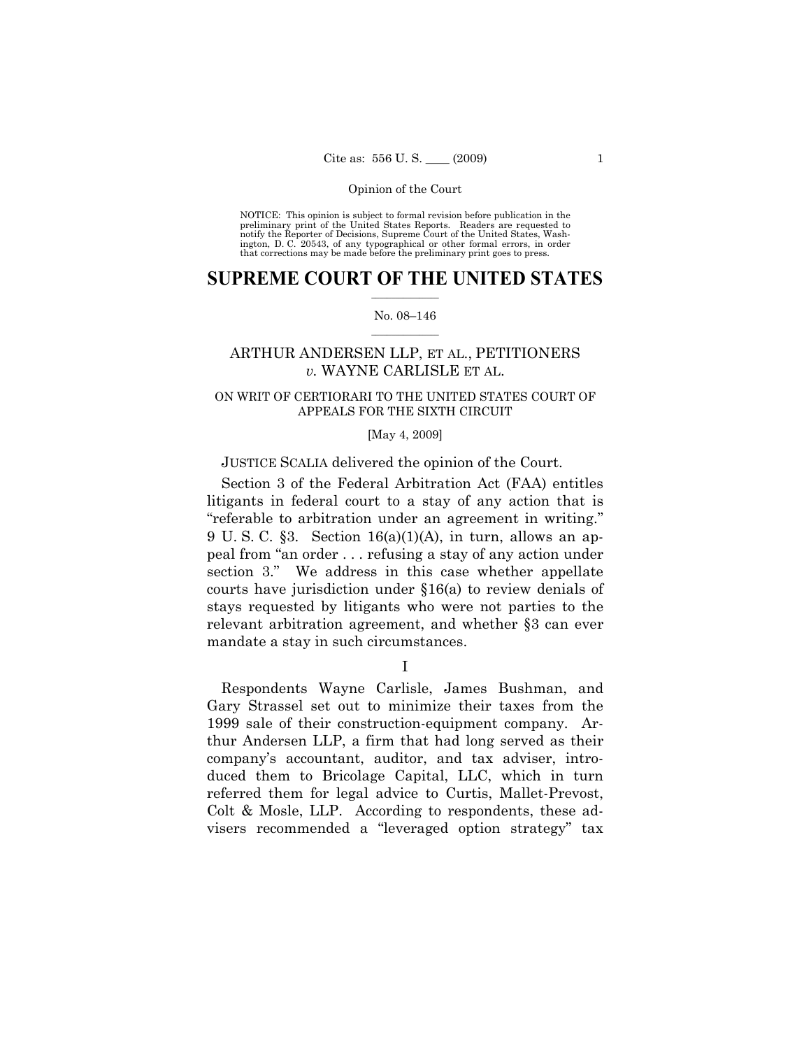NOTICE: This opinion is subject to formal revision before publication in the preliminary print of the United States Reports. Readers are requested to notify the Reporter of Decisions, Supreme Court of the United States, Washington, D. C. 20543, of any typographical or other formal errors, in order that corrections may be made before the preliminary print goes to press.

## $\frac{1}{2}$  , where  $\frac{1}{2}$ **SUPREME COURT OF THE UNITED STATES**

#### $\frac{1}{2}$  ,  $\frac{1}{2}$  ,  $\frac{1}{2}$  ,  $\frac{1}{2}$  ,  $\frac{1}{2}$  ,  $\frac{1}{2}$ No. 08–146

## ARTHUR ANDERSEN LLP, ET AL., PETITIONERS *v.* WAYNE CARLISLE ET AL.

## ON WRIT OF CERTIORARI TO THE UNITED STATES COURT OF APPEALS FOR THE SIXTH CIRCUIT

#### [May 4, 2009]

## JUSTICE SCALIA delivered the opinion of the Court.

Section 3 of the Federal Arbitration Act (FAA) entitles litigants in federal court to a stay of any action that is "referable to arbitration under an agreement in writing." 9 U.S.C.  $\S 3$ . Section 16(a)(1)(A), in turn, allows an appeal from "an order . . . refusing a stay of any action under section 3." We address in this case whether appellate courts have jurisdiction under §16(a) to review denials of stays requested by litigants who were not parties to the relevant arbitration agreement, and whether §3 can ever mandate a stay in such circumstances.

I

Respondents Wayne Carlisle, James Bushman, and Gary Strassel set out to minimize their taxes from the 1999 sale of their construction-equipment company. Arthur Andersen LLP, a firm that had long served as their company's accountant, auditor, and tax adviser, introduced them to Bricolage Capital, LLC, which in turn referred them for legal advice to Curtis, Mallet-Prevost, Colt & Mosle, LLP. According to respondents, these advisers recommended a "leveraged option strategy" tax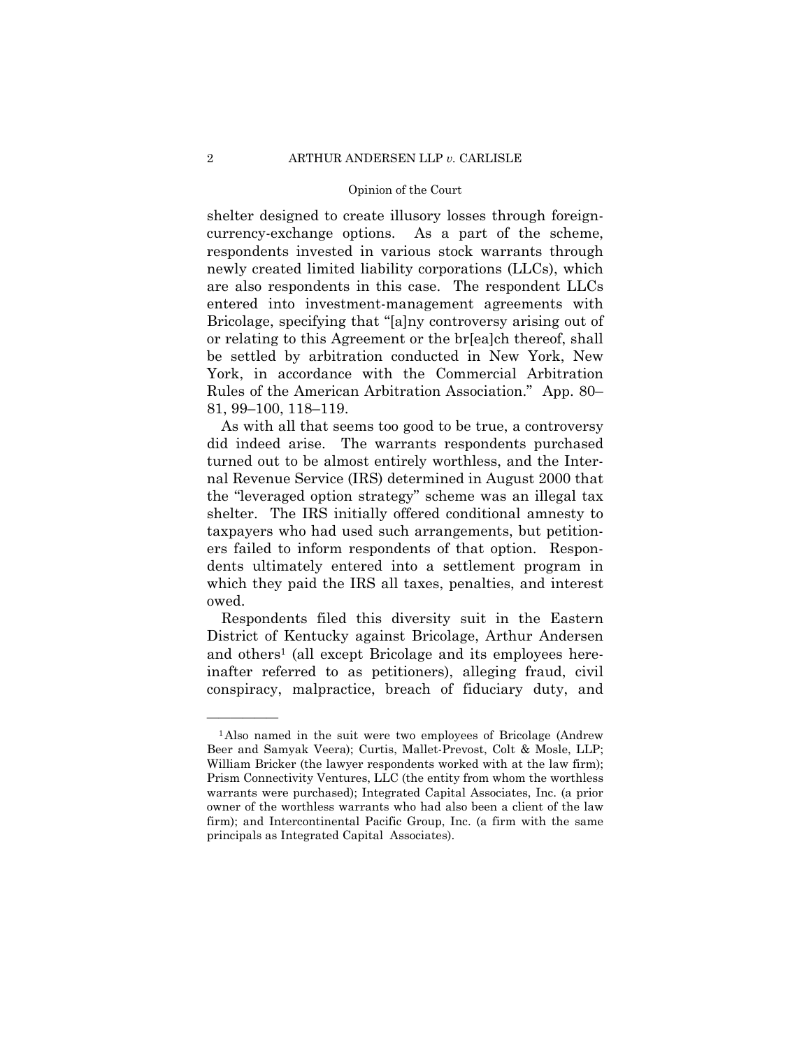shelter designed to create illusory losses through foreigncurrency-exchange options. As a part of the scheme, respondents invested in various stock warrants through newly created limited liability corporations (LLCs), which are also respondents in this case. The respondent LLCs entered into investment-management agreements with Bricolage, specifying that "[a]ny controversy arising out of or relating to this Agreement or the br[ea]ch thereof, shall be settled by arbitration conducted in New York, New York, in accordance with the Commercial Arbitration Rules of the American Arbitration Association." App. 80– 81, 99–100, 118–119.

As with all that seems too good to be true, a controversy did indeed arise. The warrants respondents purchased turned out to be almost entirely worthless, and the Internal Revenue Service (IRS) determined in August 2000 that the "leveraged option strategy" scheme was an illegal tax shelter. The IRS initially offered conditional amnesty to taxpayers who had used such arrangements, but petitioners failed to inform respondents of that option. Respondents ultimately entered into a settlement program in which they paid the IRS all taxes, penalties, and interest owed.

Respondents filed this diversity suit in the Eastern District of Kentucky against Bricolage, Arthur Andersen and others<sup>1</sup> (all except Bricolage and its employees hereinafter referred to as petitioners), alleging fraud, civil conspiracy, malpractice, breach of fiduciary duty, and

<sup>1</sup>Also named in the suit were two employees of Bricolage (Andrew Beer and Samyak Veera); Curtis, Mallet-Prevost, Colt & Mosle, LLP; William Bricker (the lawyer respondents worked with at the law firm); Prism Connectivity Ventures, LLC (the entity from whom the worthless warrants were purchased); Integrated Capital Associates, Inc. (a prior owner of the worthless warrants who had also been a client of the law firm); and Intercontinental Pacific Group, Inc. (a firm with the same principals as Integrated Capital Associates).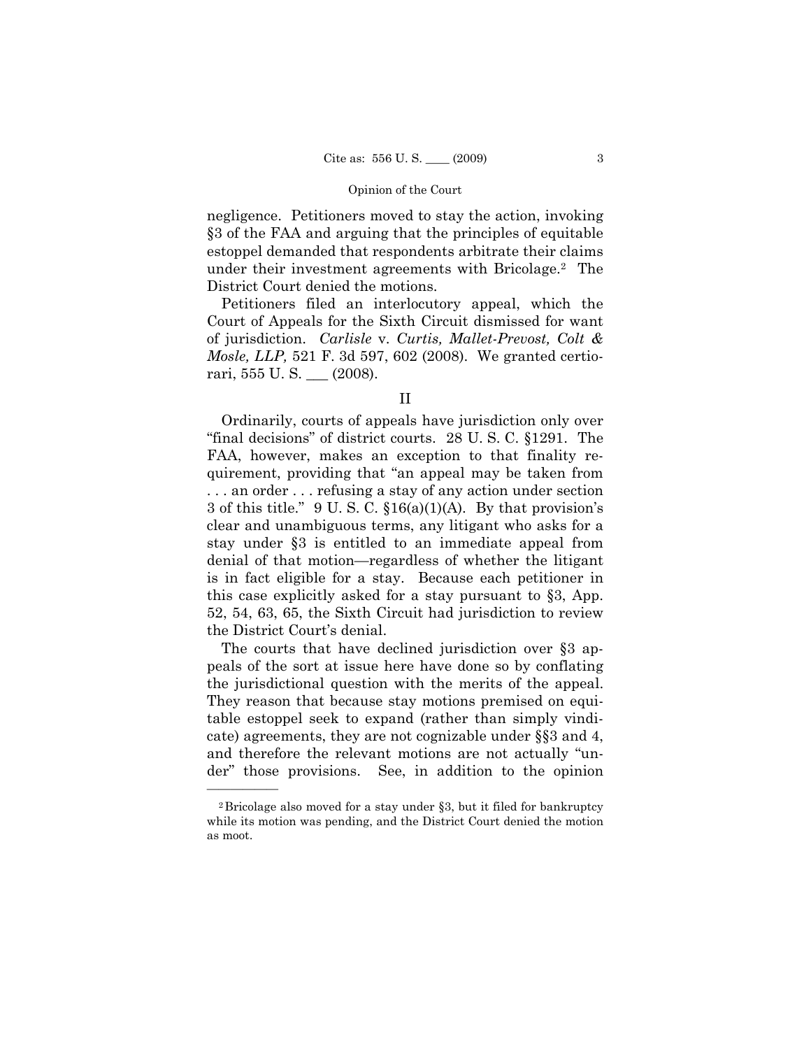negligence. Petitioners moved to stay the action, invoking §3 of the FAA and arguing that the principles of equitable estoppel demanded that respondents arbitrate their claims under their investment agreements with Bricolage.2 The District Court denied the motions.

Petitioners filed an interlocutory appeal, which the Court of Appeals for the Sixth Circuit dismissed for want of jurisdiction. *Carlisle* v. *Curtis, Mallet-Prevost, Colt & Mosle, LLP,* 521 F. 3d 597, 602 (2008). We granted certiorari, 555 U. S. \_\_\_ (2008).

Ordinarily, courts of appeals have jurisdiction only over "final decisions" of district courts. 28 U. S. C. §1291. The FAA, however, makes an exception to that finality requirement, providing that "an appeal may be taken from . . . an order . . . refusing a stay of any action under section 3 of this title." 9 U. S. C. §16(a)(1)(A). By that provision's clear and unambiguous terms, any litigant who asks for a stay under §3 is entitled to an immediate appeal from denial of that motion—regardless of whether the litigant is in fact eligible for a stay. Because each petitioner in this case explicitly asked for a stay pursuant to §3, App. 52, 54, 63, 65, the Sixth Circuit had jurisdiction to review the District Court's denial.

The courts that have declined jurisdiction over §3 appeals of the sort at issue here have done so by conflating the jurisdictional question with the merits of the appeal. They reason that because stay motions premised on equitable estoppel seek to expand (rather than simply vindicate) agreements, they are not cognizable under §§3 and 4, and therefore the relevant motions are not actually "under" those provisions. See, in addition to the opinion

II

<sup>2</sup>Bricolage also moved for a stay under §3, but it filed for bankruptcy while its motion was pending, and the District Court denied the motion as moot.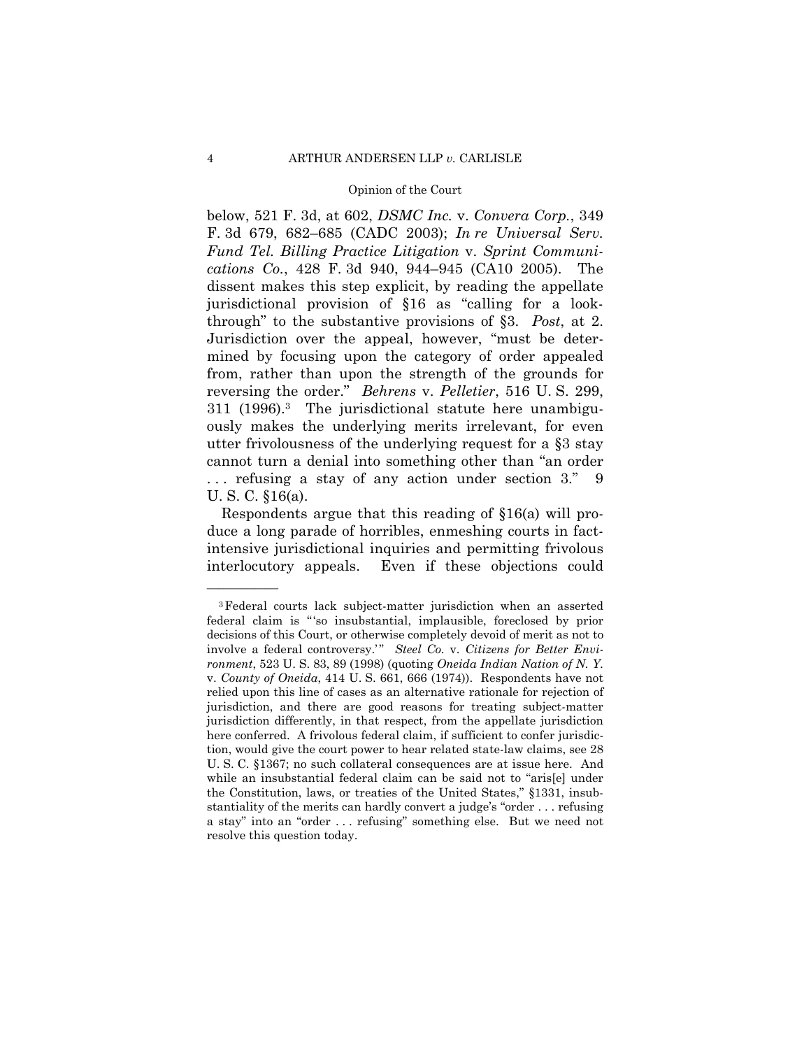below, 521 F. 3d, at 602, *DSMC Inc.* v. *Convera Corp.*, 349 F. 3d 679, 682–685 (CADC 2003); *In re Universal Serv. Fund Tel. Billing Practice Litigation* v. *Sprint Communications Co.*, 428 F. 3d 940, 944–945 (CA10 2005). The dissent makes this step explicit, by reading the appellate jurisdictional provision of §16 as "calling for a lookthrough" to the substantive provisions of §3. *Post*, at 2. Jurisdiction over the appeal, however, "must be determined by focusing upon the category of order appealed from, rather than upon the strength of the grounds for reversing the order." *Behrens* v. *Pelletier*, 516 U. S. 299, 311 (1996).3 The jurisdictional statute here unambiguously makes the underlying merits irrelevant, for even utter frivolousness of the underlying request for a §3 stay cannot turn a denial into something other than "an order ... refusing a stay of any action under section 3." U. S. C. §16(a).

Respondents argue that this reading of §16(a) will produce a long parade of horribles, enmeshing courts in factintensive jurisdictional inquiries and permitting frivolous interlocutory appeals. Even if these objections could

<sup>3</sup>Federal courts lack subject-matter jurisdiction when an asserted federal claim is "'so insubstantial, implausible, foreclosed by prior decisions of this Court, or otherwise completely devoid of merit as not to involve a federal controversy." Steel Co. v. Citizens for Better Envi*ronment*, 523 U. S. 83, 89 (1998) (quoting *Oneida Indian Nation of N. Y.*  v. *County of Oneida*, 414 U. S. 661, 666 (1974)). Respondents have not relied upon this line of cases as an alternative rationale for rejection of jurisdiction, and there are good reasons for treating subject-matter jurisdiction differently, in that respect, from the appellate jurisdiction here conferred. A frivolous federal claim, if sufficient to confer jurisdiction, would give the court power to hear related state-law claims, see 28 U. S. C. §1367; no such collateral consequences are at issue here. And while an insubstantial federal claim can be said not to "aris[e] under the Constitution, laws, or treaties of the United States," §1331, insubstantiality of the merits can hardly convert a judge's "order . . . refusing a stay" into an "order . . . refusing" something else. But we need not resolve this question today.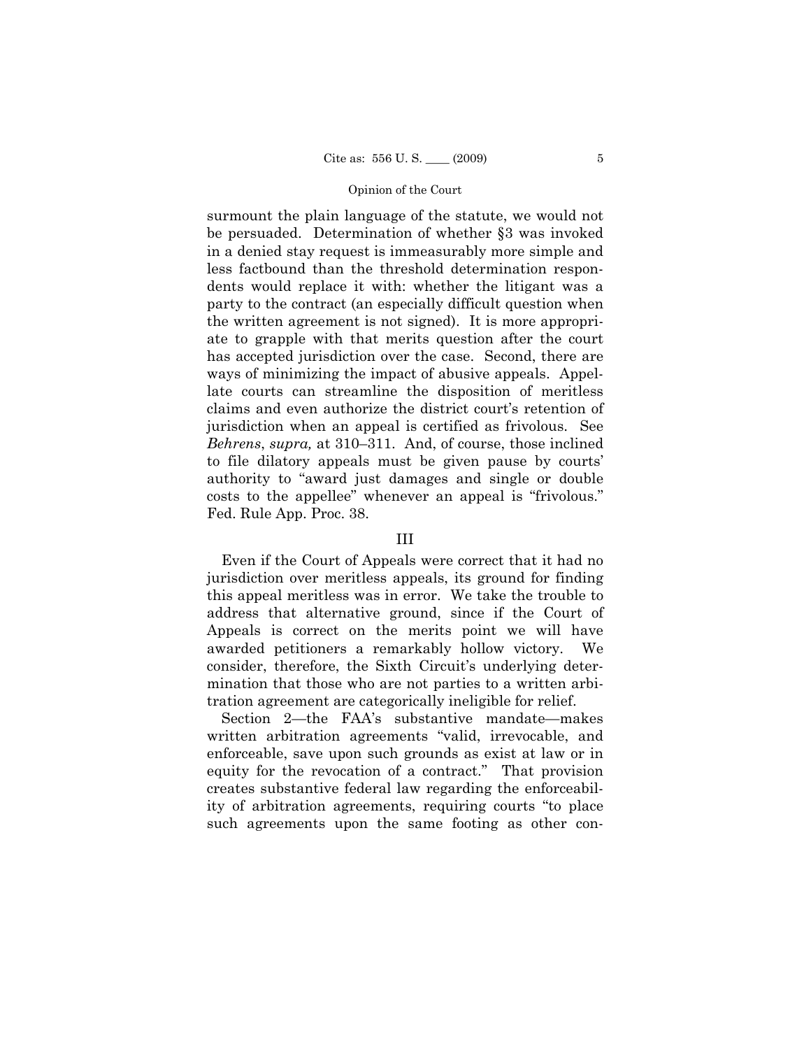surmount the plain language of the statute, we would not be persuaded. Determination of whether §3 was invoked in a denied stay request is immeasurably more simple and less factbound than the threshold determination respondents would replace it with: whether the litigant was a party to the contract (an especially difficult question when the written agreement is not signed). It is more appropriate to grapple with that merits question after the court has accepted jurisdiction over the case. Second, there are ways of minimizing the impact of abusive appeals. Appellate courts can streamline the disposition of meritless claims and even authorize the district court's retention of jurisdiction when an appeal is certified as frivolous. See *Behrens*, *supra,* at 310–311. And, of course, those inclined to file dilatory appeals must be given pause by courts' authority to "award just damages and single or double costs to the appellee" whenever an appeal is "frivolous." Fed. Rule App. Proc. 38.

## III

Even if the Court of Appeals were correct that it had no jurisdiction over meritless appeals, its ground for finding this appeal meritless was in error. We take the trouble to address that alternative ground, since if the Court of Appeals is correct on the merits point we will have awarded petitioners a remarkably hollow victory. We consider, therefore, the Sixth Circuit's underlying determination that those who are not parties to a written arbitration agreement are categorically ineligible for relief.

Section 2—the FAA's substantive mandate—makes written arbitration agreements "valid, irrevocable, and enforceable, save upon such grounds as exist at law or in equity for the revocation of a contract." That provision creates substantive federal law regarding the enforceability of arbitration agreements, requiring courts "to place such agreements upon the same footing as other con-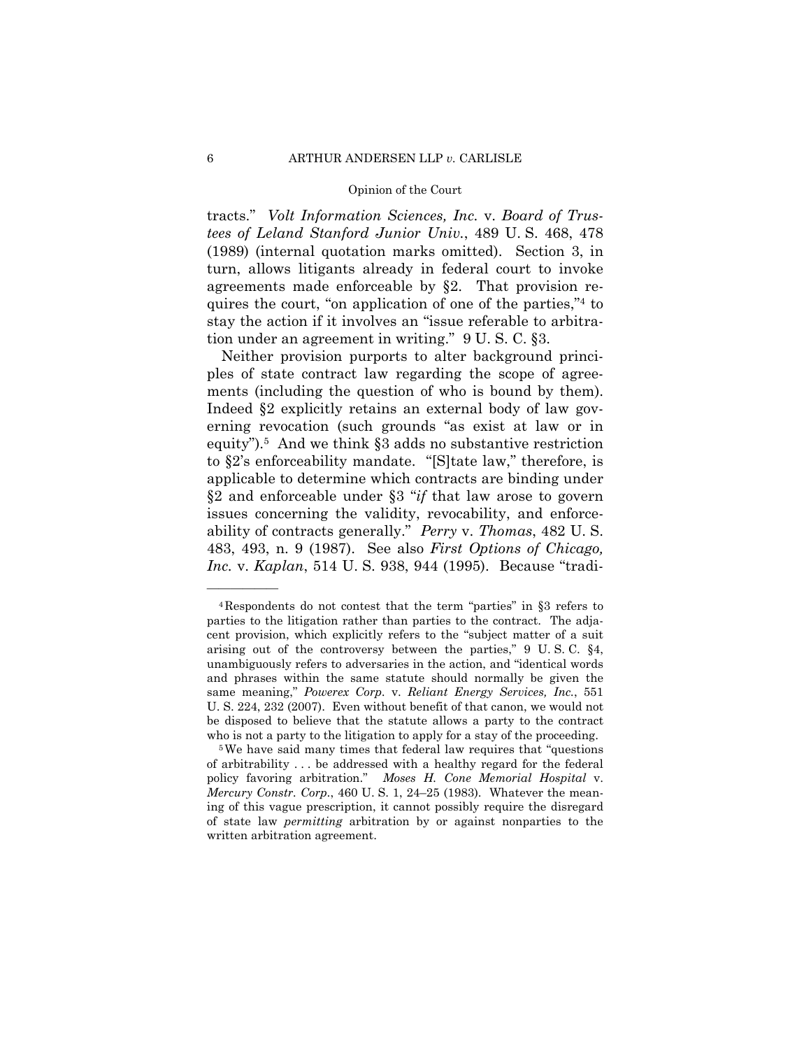tracts." *Volt Information Sciences, Inc.* v. *Board of Trustees of Leland Stanford Junior Univ.*, 489 U. S. 468, 478 (1989) (internal quotation marks omitted). Section 3, in turn, allows litigants already in federal court to invoke agreements made enforceable by §2. That provision requires the court, "on application of one of the parties,"4 to stay the action if it involves an "issue referable to arbitration under an agreement in writing." 9 U. S. C. §3.

Neither provision purports to alter background principles of state contract law regarding the scope of agreements (including the question of who is bound by them). Indeed §2 explicitly retains an external body of law governing revocation (such grounds "as exist at law or in equity").5 And we think §3 adds no substantive restriction to §2's enforceability mandate. "[S]tate law," therefore, is applicable to determine which contracts are binding under §2 and enforceable under §3 "*if* that law arose to govern issues concerning the validity, revocability, and enforceability of contracts generally." *Perry* v. *Thomas*, 482 U. S. 483, 493, n. 9 (1987). See also *First Options of Chicago, Inc.* v. *Kaplan*, 514 U. S. 938, 944 (1995). Because "tradi-

<sup>4</sup>Respondents do not contest that the term "parties" in §3 refers to parties to the litigation rather than parties to the contract. The adjacent provision, which explicitly refers to the "subject matter of a suit arising out of the controversy between the parties," 9 U. S. C. §4, unambiguously refers to adversaries in the action, and "identical words and phrases within the same statute should normally be given the same meaning," *Powerex Corp.* v. *Reliant Energy Services, Inc.*, 551 U. S. 224, 232 (2007). Even without benefit of that canon, we would not be disposed to believe that the statute allows a party to the contract

who is not a party to the litigation to apply for a stay of the proceeding.<br><sup>5</sup>We have said many times that federal law requires that "questions" of arbitrability . . . be addressed with a healthy regard for the federal policy favoring arbitration." *Moses H. Cone Memorial Hospital* v. *Mercury Constr. Corp.*, 460 U. S. 1, 24–25 (1983). Whatever the meaning of this vague prescription, it cannot possibly require the disregard of state law *permitting* arbitration by or against nonparties to the written arbitration agreement.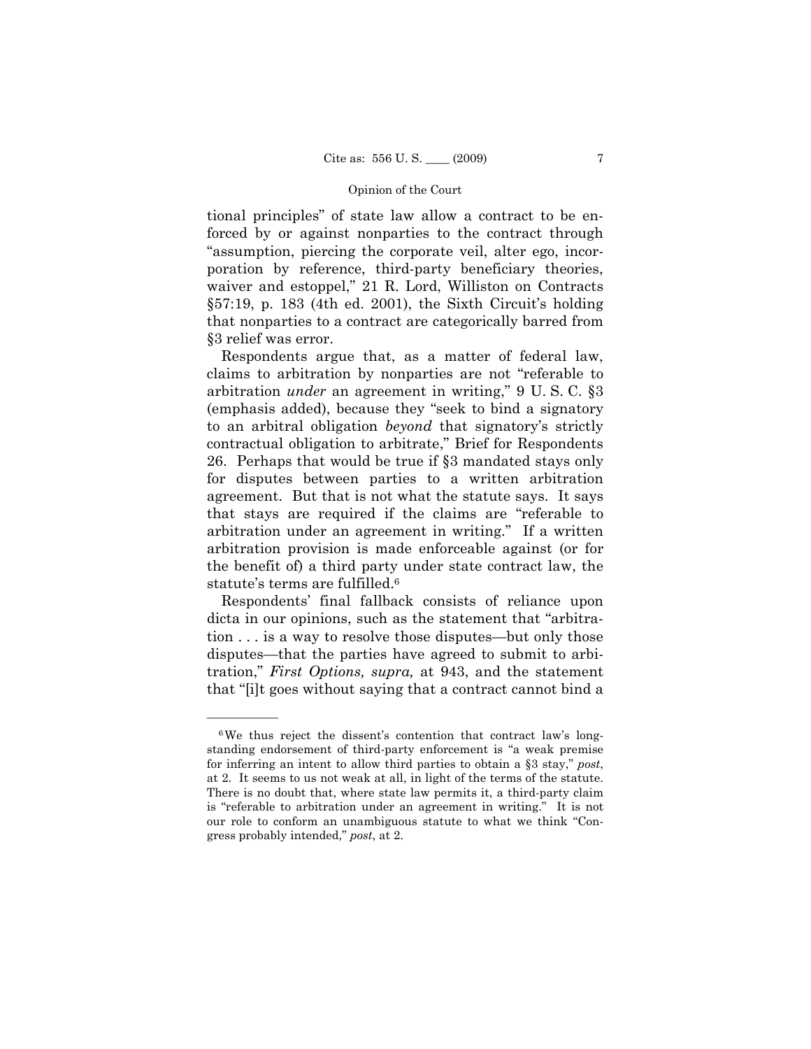tional principles" of state law allow a contract to be enforced by or against nonparties to the contract through "assumption, piercing the corporate veil, alter ego, incorporation by reference, third-party beneficiary theories, waiver and estoppel," 21 R. Lord, Williston on Contracts §57:19, p. 183 (4th ed. 2001), the Sixth Circuit's holding that nonparties to a contract are categorically barred from §3 relief was error.

Respondents argue that, as a matter of federal law, claims to arbitration by nonparties are not "referable to arbitration *under* an agreement in writing," 9 U. S. C. §3 (emphasis added), because they "seek to bind a signatory to an arbitral obligation *beyond* that signatory's strictly contractual obligation to arbitrate," Brief for Respondents 26. Perhaps that would be true if §3 mandated stays only for disputes between parties to a written arbitration agreement. But that is not what the statute says. It says that stays are required if the claims are "referable to arbitration under an agreement in writing." If a written arbitration provision is made enforceable against (or for the benefit of) a third party under state contract law, the statute's terms are fulfilled.6

Respondents' final fallback consists of reliance upon dicta in our opinions, such as the statement that "arbitration . . . is a way to resolve those disputes—but only those disputes—that the parties have agreed to submit to arbitration," *First Options, supra,* at 943, and the statement that "[i]t goes without saying that a contract cannot bind a

<sup>6</sup>We thus reject the dissent's contention that contract law's longstanding endorsement of third-party enforcement is "a weak premise for inferring an intent to allow third parties to obtain a §3 stay," *post*, at 2. It seems to us not weak at all, in light of the terms of the statute. There is no doubt that, where state law permits it, a third-party claim is "referable to arbitration under an agreement in writing." It is not our role to conform an unambiguous statute to what we think "Congress probably intended," *post*, at 2.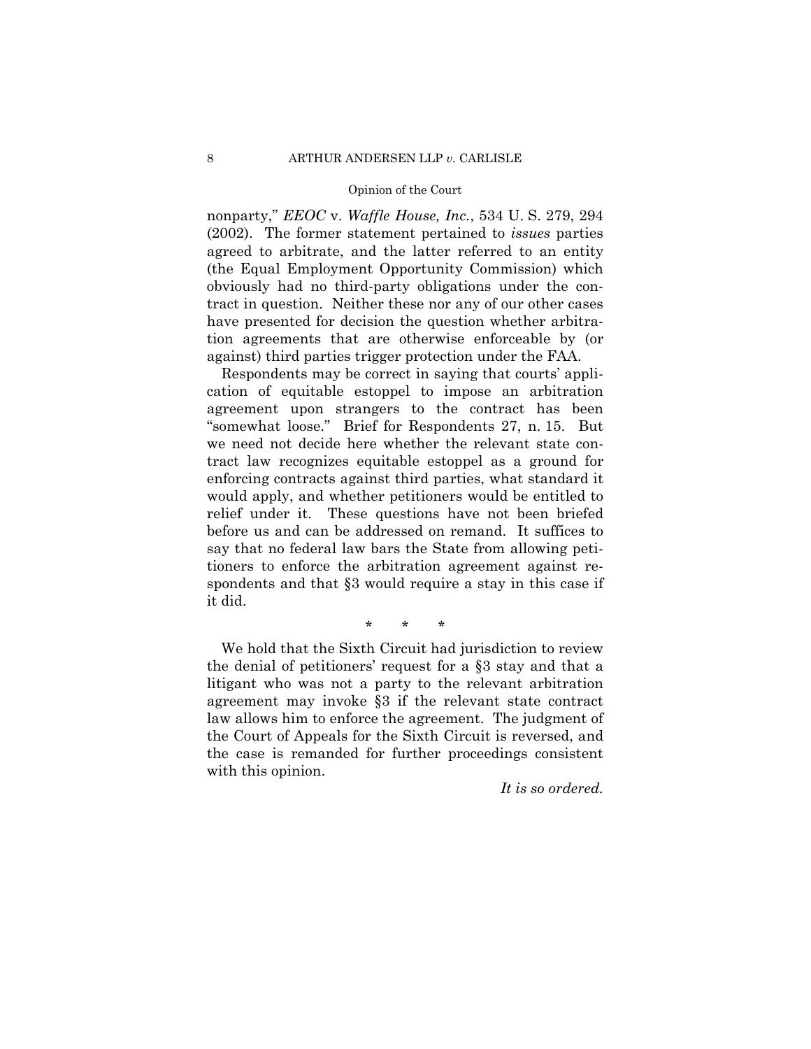nonparty," *EEOC* v. *Waffle House, Inc.*, 534 U. S. 279, 294 (2002). The former statement pertained to *issues* parties agreed to arbitrate, and the latter referred to an entity (the Equal Employment Opportunity Commission) which obviously had no third-party obligations under the contract in question. Neither these nor any of our other cases have presented for decision the question whether arbitration agreements that are otherwise enforceable by (or against) third parties trigger protection under the FAA.

Respondents may be correct in saying that courts' application of equitable estoppel to impose an arbitration agreement upon strangers to the contract has been "somewhat loose." Brief for Respondents 27, n. 15. But we need not decide here whether the relevant state contract law recognizes equitable estoppel as a ground for enforcing contracts against third parties, what standard it would apply, and whether petitioners would be entitled to relief under it. These questions have not been briefed before us and can be addressed on remand. It suffices to say that no federal law bars the State from allowing petitioners to enforce the arbitration agreement against respondents and that  $\S$ 3 would require a stay in this case if it did.

## \* \* \*

We hold that the Sixth Circuit had jurisdiction to review the denial of petitioners' request for a §3 stay and that a litigant who was not a party to the relevant arbitration agreement may invoke §3 if the relevant state contract law allows him to enforce the agreement. The judgment of the Court of Appeals for the Sixth Circuit is reversed, and the case is remanded for further proceedings consistent with this opinion.

*It is so ordered.*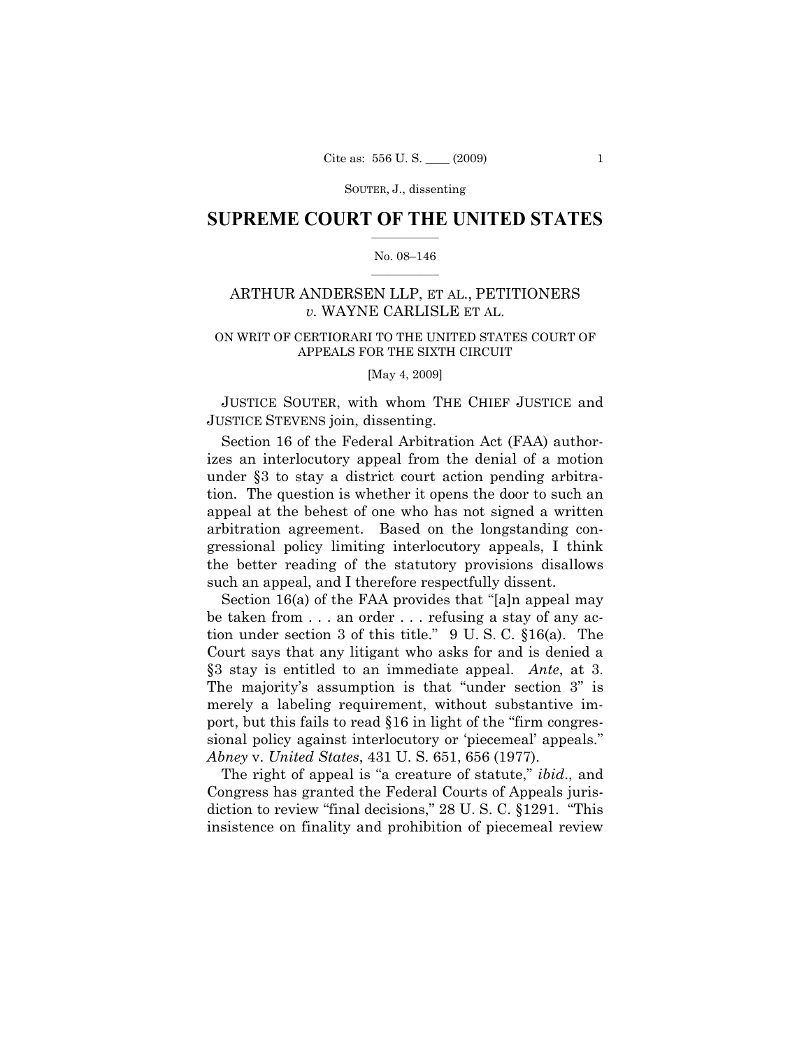SOUTER, J., dissenting

## $\frac{1}{2}$  , where  $\frac{1}{2}$ **SUPREME COURT OF THE UNITED STATES**

### $\frac{1}{2}$  ,  $\frac{1}{2}$  ,  $\frac{1}{2}$  ,  $\frac{1}{2}$  ,  $\frac{1}{2}$  ,  $\frac{1}{2}$ No. 08–146

## ARTHUR ANDERSEN LLP, ET AL., PETITIONERS *v.* WAYNE CARLISLE ET AL.

## ON WRIT OF CERTIORARI TO THE UNITED STATES COURT OF APPEALS FOR THE SIXTH CIRCUIT

[May 4, 2009]

 JUSTICE SOUTER, with whom THE CHIEF JUSTICE and JUSTICE STEVENS join, dissenting.

Section 16 of the Federal Arbitration Act (FAA) authorizes an interlocutory appeal from the denial of a motion under §3 to stay a district court action pending arbitration. The question is whether it opens the door to such an appeal at the behest of one who has not signed a written arbitration agreement. Based on the longstanding congressional policy limiting interlocutory appeals, I think the better reading of the statutory provisions disallows such an appeal, and I therefore respectfully dissent.

Section 16(a) of the FAA provides that "[a]n appeal may be taken from . . . an order . . . refusing a stay of any action under section 3 of this title." 9 U. S. C. §16(a). The Court says that any litigant who asks for and is denied a §3 stay is entitled to an immediate appeal. *Ante*, at 3. The majority's assumption is that "under section 3" is merely a labeling requirement, without substantive import, but this fails to read §16 in light of the "firm congressional policy against interlocutory or 'piecemeal' appeals." *Abney* v. *United States*, 431 U. S. 651, 656 (1977).

The right of appeal is "a creature of statute," *ibid*., and Congress has granted the Federal Courts of Appeals jurisdiction to review "final decisions," 28 U. S. C. §1291. "This insistence on finality and prohibition of piecemeal review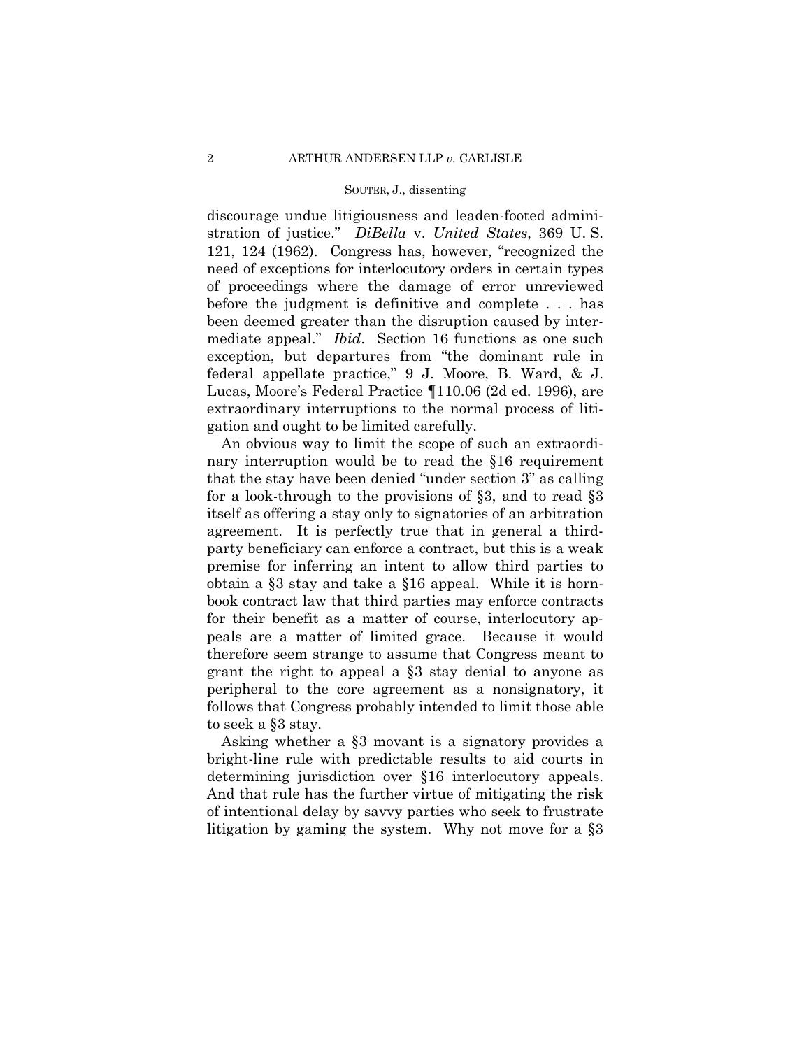#### SOUTER, J., dissenting

discourage undue litigiousness and leaden-footed administration of justice." *DiBella* v. *United States*, 369 U. S. 121, 124 (1962). Congress has, however, "recognized the need of exceptions for interlocutory orders in certain types of proceedings where the damage of error unreviewed before the judgment is definitive and complete . . . has been deemed greater than the disruption caused by intermediate appeal." *Ibid*. Section 16 functions as one such exception, but departures from "the dominant rule in federal appellate practice," 9 J. Moore, B. Ward, & J. Lucas, Moore's Federal Practice ¶110.06 (2d ed. 1996), are extraordinary interruptions to the normal process of litigation and ought to be limited carefully.

An obvious way to limit the scope of such an extraordinary interruption would be to read the §16 requirement that the stay have been denied "under section 3" as calling for a look-through to the provisions of §3, and to read §3 itself as offering a stay only to signatories of an arbitration agreement. It is perfectly true that in general a thirdparty beneficiary can enforce a contract, but this is a weak premise for inferring an intent to allow third parties to obtain a §3 stay and take a §16 appeal. While it is hornbook contract law that third parties may enforce contracts for their benefit as a matter of course, interlocutory appeals are a matter of limited grace. Because it would therefore seem strange to assume that Congress meant to grant the right to appeal a §3 stay denial to anyone as peripheral to the core agreement as a nonsignatory, it follows that Congress probably intended to limit those able to seek a §3 stay.

Asking whether a §3 movant is a signatory provides a bright-line rule with predictable results to aid courts in determining jurisdiction over §16 interlocutory appeals. And that rule has the further virtue of mitigating the risk of intentional delay by savvy parties who seek to frustrate litigation by gaming the system. Why not move for a §3